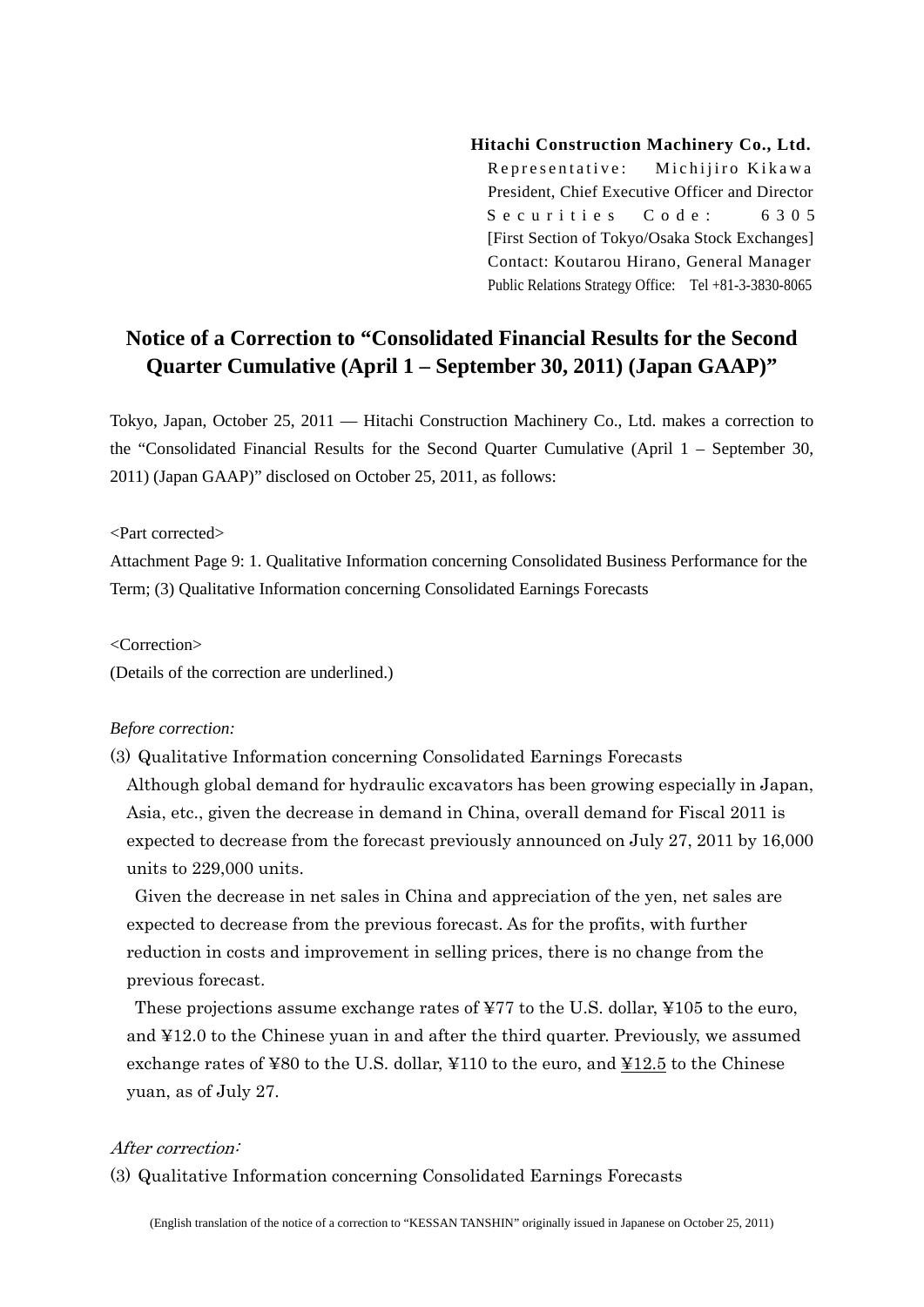## **Hitachi Construction Machinery Co., Ltd.**

Representative: Michiiiro Kikawa President, Chief Executive Officer and Director Securities Code: 6305 [First Section of Tokyo/Osaka Stock Exchanges] Contact: Koutarou Hirano, General Manager Public Relations Strategy Office: Tel +81-3-3830-8065

## **Notice of a Correction to "Consolidated Financial Results for the Second Quarter Cumulative (April 1 – September 30, 2011) (Japan GAAP)"**

Tokyo, Japan, October 25, 2011 — Hitachi Construction Machinery Co., Ltd. makes a correction to the "Consolidated Financial Results for the Second Quarter Cumulative (April 1 – September 30, 2011) (Japan GAAP)" disclosed on October 25, 2011, as follows:

<Part corrected>

Attachment Page 9: 1. Qualitative Information concerning Consolidated Business Performance for the Term; (3) Qualitative Information concerning Consolidated Earnings Forecasts

<Correction>

(Details of the correction are underlined.)

## *Before correction:*

(3) Qualitative Information concerning Consolidated Earnings Forecasts Although global demand for hydraulic excavators has been growing especially in Japan, Asia, etc., given the decrease in demand in China, overall demand for Fiscal 2011 is expected to decrease from the forecast previously announced on July 27, 2011 by 16,000 units to 229,000 units.

Given the decrease in net sales in China and appreciation of the yen, net sales are expected to decrease from the previous forecast. As for the profits, with further reduction in costs and improvement in selling prices, there is no change from the previous forecast.

These projections assume exchange rates of ¥77 to the U.S. dollar, ¥105 to the euro, and ¥12.0 to the Chinese yuan in and after the third quarter. Previously, we assumed exchange rates of ¥80 to the U.S. dollar, ¥110 to the euro, and ¥12.5 to the Chinese yuan, as of July 27.

## After correction:

(3) Qualitative Information concerning Consolidated Earnings Forecasts